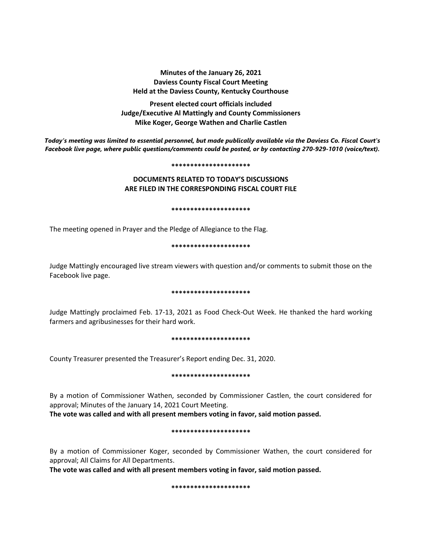**Minutes of the January 26, 2021 Daviess County Fiscal Court Meeting Held at the Daviess County, Kentucky Courthouse**

**Present elected court officials included Judge/Executive Al Mattingly and County Commissioners Mike Koger, George Wathen and Charlie Castlen**

*Today's meeting was limited to essential personnel, but made publically available via the Daviess Co. Fiscal Court's Facebook live page, where public questions/comments could be posted, or by contacting 270-929-1010 (voice/text).*

#### **\*\*\*\*\*\*\*\*\*\*\*\*\*\*\*\*\*\*\*\*\***

# **DOCUMENTS RELATED TO TODAY'S DISCUSSIONS ARE FILED IN THE CORRESPONDING FISCAL COURT FILE**

#### **\*\*\*\*\*\*\*\*\*\*\*\*\*\*\*\*\*\*\*\*\***

The meeting opened in Prayer and the Pledge of Allegiance to the Flag.

### **\*\*\*\*\*\*\*\*\*\*\*\*\*\*\*\*\*\*\*\*\***

Judge Mattingly encouraged live stream viewers with question and/or comments to submit those on the Facebook live page.

### **\*\*\*\*\*\*\*\*\*\*\*\*\*\*\*\*\*\*\*\*\***

Judge Mattingly proclaimed Feb. 17-13, 2021 as Food Check-Out Week. He thanked the hard working farmers and agribusinesses for their hard work.

### **\*\*\*\*\*\*\*\*\*\*\*\*\*\*\*\*\*\*\*\*\***

County Treasurer presented the Treasurer's Report ending Dec. 31, 2020.

### **\*\*\*\*\*\*\*\*\*\*\*\*\*\*\*\*\*\*\*\*\***

By a motion of Commissioner Wathen, seconded by Commissioner Castlen, the court considered for approval; Minutes of the January 14, 2021 Court Meeting.

**The vote was called and with all present members voting in favor, said motion passed.** 

### **\*\*\*\*\*\*\*\*\*\*\*\*\*\*\*\*\*\*\*\*\***

By a motion of Commissioner Koger, seconded by Commissioner Wathen, the court considered for approval; All Claims for All Departments.

**The vote was called and with all present members voting in favor, said motion passed.** 

**\*\*\*\*\*\*\*\*\*\*\*\*\*\*\*\*\*\*\*\*\***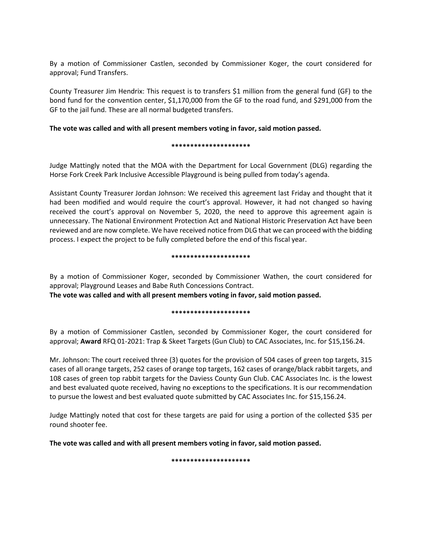By a motion of Commissioner Castlen, seconded by Commissioner Koger, the court considered for approval; Fund Transfers.

County Treasurer Jim Hendrix: This request is to transfers \$1 million from the general fund (GF) to the bond fund for the convention center, \$1,170,000 from the GF to the road fund, and \$291,000 from the GF to the jail fund. These are all normal budgeted transfers.

# **The vote was called and with all present members voting in favor, said motion passed.**

### **\*\*\*\*\*\*\*\*\*\*\*\*\*\*\*\*\*\*\*\*\***

Judge Mattingly noted that the MOA with the Department for Local Government (DLG) regarding the Horse Fork Creek Park Inclusive Accessible Playground is being pulled from today's agenda.

Assistant County Treasurer Jordan Johnson: We received this agreement last Friday and thought that it had been modified and would require the court's approval. However, it had not changed so having received the court's approval on November 5, 2020, the need to approve this agreement again is unnecessary. The National Environment Protection Act and National Historic Preservation Act have been reviewed and are now complete. We have received notice from DLG that we can proceed with the bidding process. I expect the project to be fully completed before the end of this fiscal year.

### **\*\*\*\*\*\*\*\*\*\*\*\*\*\*\*\*\*\*\*\*\***

By a motion of Commissioner Koger, seconded by Commissioner Wathen, the court considered for approval; Playground Leases and Babe Ruth Concessions Contract.

**The vote was called and with all present members voting in favor, said motion passed.**

## **\*\*\*\*\*\*\*\*\*\*\*\*\*\*\*\*\*\*\*\*\***

By a motion of Commissioner Castlen, seconded by Commissioner Koger, the court considered for approval; **Award** RFQ 01-2021: Trap & Skeet Targets (Gun Club) to CAC Associates, Inc. for \$15,156.24.

Mr. Johnson: The court received three (3) quotes for the provision of 504 cases of green top targets, 315 cases of all orange targets, 252 cases of orange top targets, 162 cases of orange/black rabbit targets, and 108 cases of green top rabbit targets for the Daviess County Gun Club. CAC Associates Inc. is the lowest and best evaluated quote received, having no exceptions to the specifications. It is our recommendation to pursue the lowest and best evaluated quote submitted by CAC Associates Inc. for \$15,156.24.

Judge Mattingly noted that cost for these targets are paid for using a portion of the collected \$35 per round shooter fee.

**The vote was called and with all present members voting in favor, said motion passed.**

**\*\*\*\*\*\*\*\*\*\*\*\*\*\*\*\*\*\*\*\*\***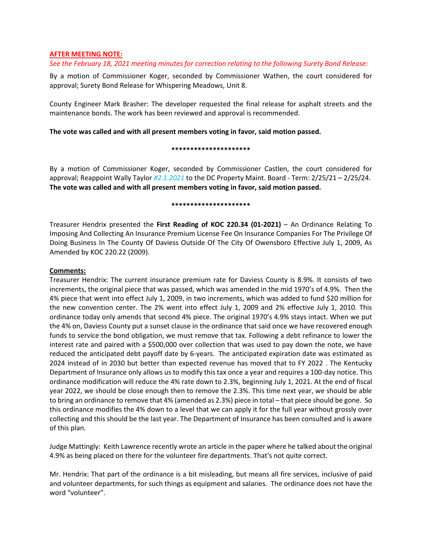## **AFTER MEETING NOTE:**

## *See the February 18, 2021 meeting minutes for correction relating to the following Surety Bond Release:*

By a motion of Commissioner Koger, seconded by Commissioner Wathen, the court considered for approval; Surety Bond Release for Whispering Meadows, Unit 8.

County Engineer Mark Brasher: The developer requested the final release for asphalt streets and the maintenance bonds. The work has been reviewed and approval is recommended.

### **The vote was called and with all present members voting in favor, said motion passed.**

#### **\*\*\*\*\*\*\*\*\*\*\*\*\*\*\*\*\*\*\*\*\***

By a motion of Commissioner Koger, seconded by Commissioner Castlen, the court considered for approval; Reappoint Wally Taylor *#2.1.2021* to the DC Property Maint. Board - Term: 2/25/21 – 2/25/24. **The vote was called and with all present members voting in favor, said motion passed.**

### **\*\*\*\*\*\*\*\*\*\*\*\*\*\*\*\*\*\*\*\*\***

Treasurer Hendrix presented the **First Reading of KOC 220.34 (01-2021)** – An Ordinance Relating To Imposing And Collecting An Insurance Premium License Fee On Insurance Companies For The Privilege Of Doing Business In The County Of Daviess Outside Of The City Of Owensboro Effective July 1, 2009, As Amended by KOC 220.22 (2009).

## **Comments:**

Treasurer Hendrix: The current insurance premium rate for Daviess County is 8.9%. It consists of two increments, the original piece that was passed, which was amended in the mid 1970's of 4.9%. Then the 4% piece that went into effect July 1, 2009, in two increments, which was added to fund \$20 million for the new convention center. The 2% went into effect July 1, 2009 and 2% effective July 1, 2010. This ordinance today only amends that second 4% piece. The original 1970's 4.9% stays intact. When we put the 4% on, Daviess County put a sunset clause in the ordinance that said once we have recovered enough funds to service the bond obligation, we must remove that tax. Following a debt refinance to lower the interest rate and paired with a \$500,000 over collection that was used to pay down the note, we have reduced the anticipated debt payoff date by 6-years. The anticipated expiration date was estimated as 2024 instead of in 2030 but better than expected revenue has moved that to FY 2022 . The Kentucky Department of Insurance only allows us to modify this tax once a year and requires a 100-day notice. This ordinance modification will reduce the 4% rate down to 2.3%, beginning July 1, 2021. At the end of fiscal year 2022, we should be close enough then to remove the 2.3%. This time next year, we should be able to bring an ordinance to remove that 4% (amended as 2.3%) piece in total – that piece should be gone. So this ordinance modifies the 4% down to a level that we can apply it for the full year without grossly over collecting and this should be the last year. The Department of Insurance has been consulted and is aware of this plan.

Judge Mattingly: Keith Lawrence recently wrote an article in the paper where he talked about the original 4.9% as being placed on there for the volunteer fire departments. That's not quite correct.

Mr. Hendrix: That part of the ordinance is a bit misleading, but means all fire services, inclusive of paid and volunteer departments, for such things as equipment and salaries. The ordinance does not have the word "volunteer".